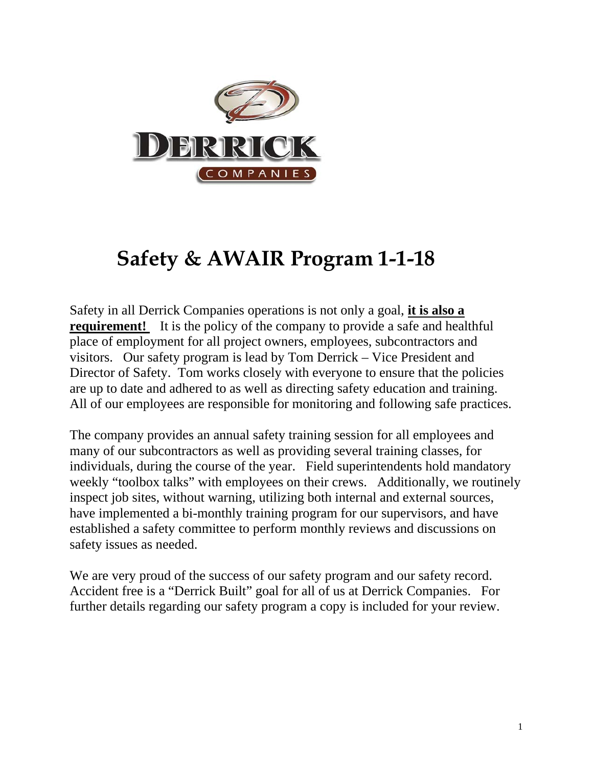

# **Safety & AWAIR Program 1-1-18**

Safety in all Derrick Companies operations is not only a goal, **it is also a requirement!** It is the policy of the company to provide a safe and healthful place of employment for all project owners, employees, subcontractors and visitors. Our safety program is lead by Tom Derrick – Vice President and Director of Safety. Tom works closely with everyone to ensure that the policies are up to date and adhered to as well as directing safety education and training. All of our employees are responsible for monitoring and following safe practices.

The company provides an annual safety training session for all employees and many of our subcontractors as well as providing several training classes, for individuals, during the course of the year. Field superintendents hold mandatory weekly "toolbox talks" with employees on their crews. Additionally, we routinely inspect job sites, without warning, utilizing both internal and external sources, have implemented a bi-monthly training program for our supervisors, and have established a safety committee to perform monthly reviews and discussions on safety issues as needed.

We are very proud of the success of our safety program and our safety record. Accident free is a "Derrick Built" goal for all of us at Derrick Companies. For further details regarding our safety program a copy is included for your review.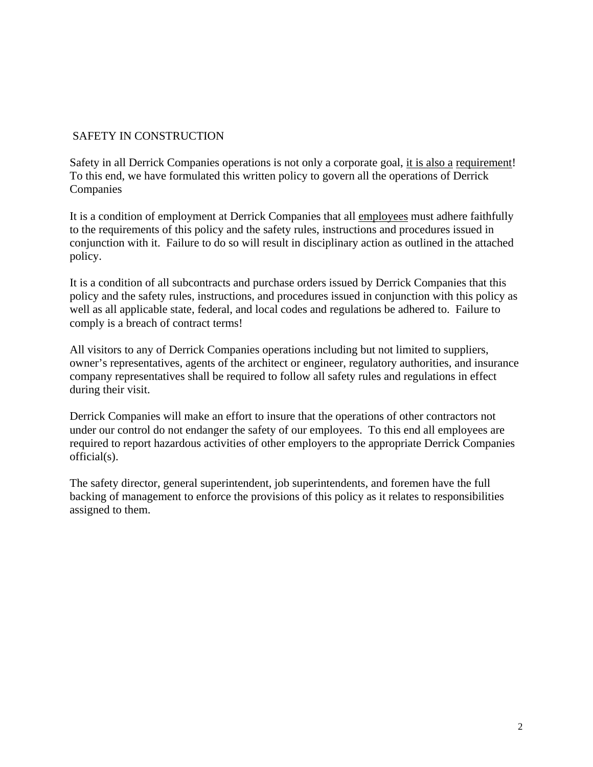# SAFETY IN CONSTRUCTION

Safety in all Derrick Companies operations is not only a corporate goal, it is also a requirement! To this end, we have formulated this written policy to govern all the operations of Derrick Companies

It is a condition of employment at Derrick Companies that all employees must adhere faithfully to the requirements of this policy and the safety rules, instructions and procedures issued in conjunction with it. Failure to do so will result in disciplinary action as outlined in the attached policy.

It is a condition of all subcontracts and purchase orders issued by Derrick Companies that this policy and the safety rules, instructions, and procedures issued in conjunction with this policy as well as all applicable state, federal, and local codes and regulations be adhered to. Failure to comply is a breach of contract terms!

All visitors to any of Derrick Companies operations including but not limited to suppliers, owner's representatives, agents of the architect or engineer, regulatory authorities, and insurance company representatives shall be required to follow all safety rules and regulations in effect during their visit.

Derrick Companies will make an effort to insure that the operations of other contractors not under our control do not endanger the safety of our employees. To this end all employees are required to report hazardous activities of other employers to the appropriate Derrick Companies official(s).

The safety director, general superintendent, job superintendents, and foremen have the full backing of management to enforce the provisions of this policy as it relates to responsibilities assigned to them.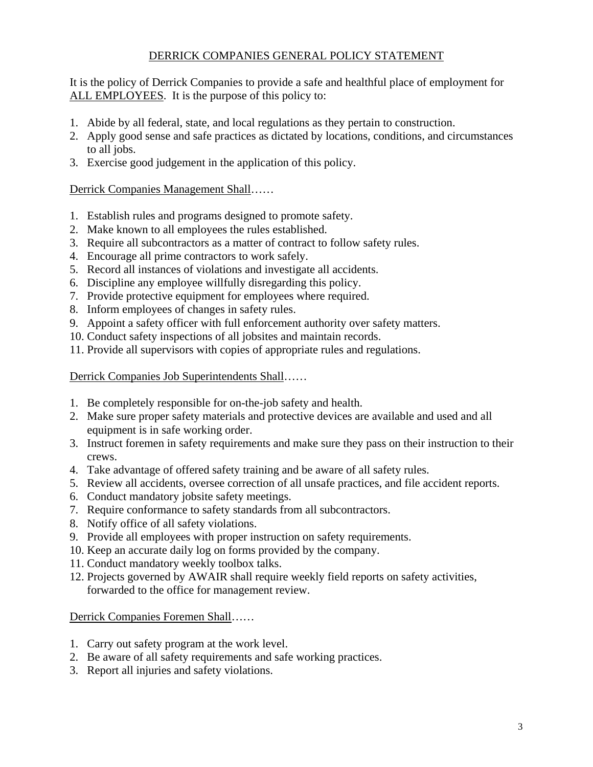# DERRICK COMPANIES GENERAL POLICY STATEMENT

It is the policy of Derrick Companies to provide a safe and healthful place of employment for ALL EMPLOYEES. It is the purpose of this policy to:

- 1. Abide by all federal, state, and local regulations as they pertain to construction.
- 2. Apply good sense and safe practices as dictated by locations, conditions, and circumstances to all jobs.
- 3. Exercise good judgement in the application of this policy.

## Derrick Companies Management Shall……

- 1. Establish rules and programs designed to promote safety.
- 2. Make known to all employees the rules established.
- 3. Require all subcontractors as a matter of contract to follow safety rules.
- 4. Encourage all prime contractors to work safely.
- 5. Record all instances of violations and investigate all accidents.
- 6. Discipline any employee willfully disregarding this policy.
- 7. Provide protective equipment for employees where required.
- 8. Inform employees of changes in safety rules.
- 9. Appoint a safety officer with full enforcement authority over safety matters.
- 10. Conduct safety inspections of all jobsites and maintain records.
- 11. Provide all supervisors with copies of appropriate rules and regulations.

Derrick Companies Job Superintendents Shall……

- 1. Be completely responsible for on-the-job safety and health.
- 2. Make sure proper safety materials and protective devices are available and used and all equipment is in safe working order.
- 3. Instruct foremen in safety requirements and make sure they pass on their instruction to their crews.
- 4. Take advantage of offered safety training and be aware of all safety rules.
- 5. Review all accidents, oversee correction of all unsafe practices, and file accident reports.
- 6. Conduct mandatory jobsite safety meetings.
- 7. Require conformance to safety standards from all subcontractors.
- 8. Notify office of all safety violations.
- 9. Provide all employees with proper instruction on safety requirements.
- 10. Keep an accurate daily log on forms provided by the company.
- 11. Conduct mandatory weekly toolbox talks.
- 12. Projects governed by AWAIR shall require weekly field reports on safety activities, forwarded to the office for management review.

#### Derrick Companies Foremen Shall……

- 1. Carry out safety program at the work level.
- 2. Be aware of all safety requirements and safe working practices.
- 3. Report all injuries and safety violations.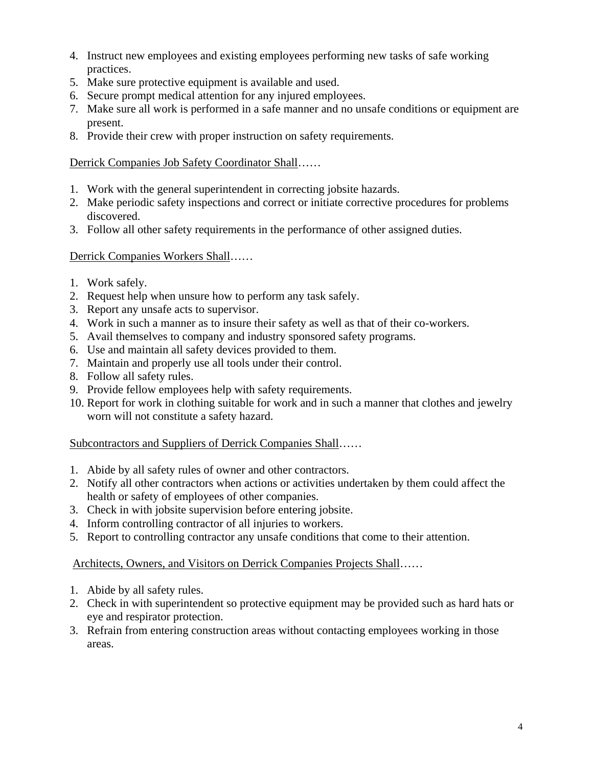- 4. Instruct new employees and existing employees performing new tasks of safe working practices.
- 5. Make sure protective equipment is available and used.
- 6. Secure prompt medical attention for any injured employees.
- 7. Make sure all work is performed in a safe manner and no unsafe conditions or equipment are present.
- 8. Provide their crew with proper instruction on safety requirements.

# Derrick Companies Job Safety Coordinator Shall……

- 1. Work with the general superintendent in correcting jobsite hazards.
- 2. Make periodic safety inspections and correct or initiate corrective procedures for problems discovered.
- 3. Follow all other safety requirements in the performance of other assigned duties.

# Derrick Companies Workers Shall……

- 1. Work safely.
- 2. Request help when unsure how to perform any task safely.
- 3. Report any unsafe acts to supervisor.
- 4. Work in such a manner as to insure their safety as well as that of their co-workers.
- 5. Avail themselves to company and industry sponsored safety programs.
- 6. Use and maintain all safety devices provided to them.
- 7. Maintain and properly use all tools under their control.
- 8. Follow all safety rules.
- 9. Provide fellow employees help with safety requirements.
- 10. Report for work in clothing suitable for work and in such a manner that clothes and jewelry worn will not constitute a safety hazard.

# Subcontractors and Suppliers of Derrick Companies Shall……

- 1. Abide by all safety rules of owner and other contractors.
- 2. Notify all other contractors when actions or activities undertaken by them could affect the health or safety of employees of other companies.
- 3. Check in with jobsite supervision before entering jobsite.
- 4. Inform controlling contractor of all injuries to workers.
- 5. Report to controlling contractor any unsafe conditions that come to their attention.

# Architects, Owners, and Visitors on Derrick Companies Projects Shall……

- 1. Abide by all safety rules.
- 2. Check in with superintendent so protective equipment may be provided such as hard hats or eye and respirator protection.
- 3. Refrain from entering construction areas without contacting employees working in those areas.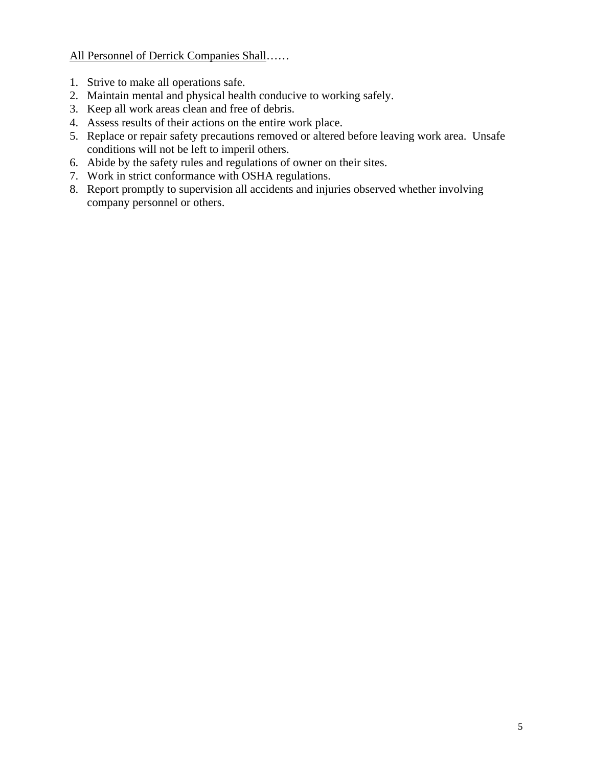All Personnel of Derrick Companies Shall……

- 1. Strive to make all operations safe.
- 2. Maintain mental and physical health conducive to working safely.
- 3. Keep all work areas clean and free of debris.
- 4. Assess results of their actions on the entire work place.
- 5. Replace or repair safety precautions removed or altered before leaving work area. Unsafe conditions will not be left to imperil others.
- 6. Abide by the safety rules and regulations of owner on their sites.
- 7. Work in strict conformance with OSHA regulations.
- 8. Report promptly to supervision all accidents and injuries observed whether involving company personnel or others.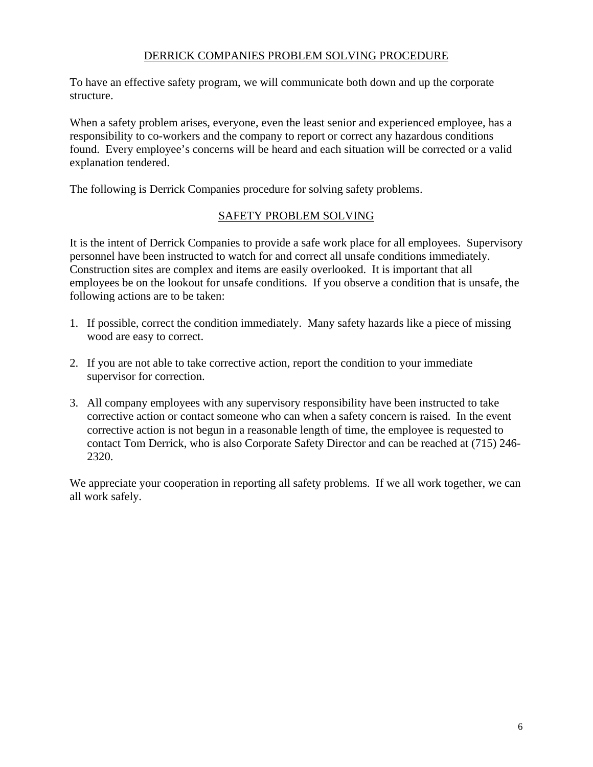# DERRICK COMPANIES PROBLEM SOLVING PROCEDURE

To have an effective safety program, we will communicate both down and up the corporate structure.

When a safety problem arises, everyone, even the least senior and experienced employee, has a responsibility to co-workers and the company to report or correct any hazardous conditions found. Every employee's concerns will be heard and each situation will be corrected or a valid explanation tendered.

The following is Derrick Companies procedure for solving safety problems.

# SAFETY PROBLEM SOLVING

It is the intent of Derrick Companies to provide a safe work place for all employees. Supervisory personnel have been instructed to watch for and correct all unsafe conditions immediately. Construction sites are complex and items are easily overlooked. It is important that all employees be on the lookout for unsafe conditions. If you observe a condition that is unsafe, the following actions are to be taken:

- 1. If possible, correct the condition immediately. Many safety hazards like a piece of missing wood are easy to correct.
- 2. If you are not able to take corrective action, report the condition to your immediate supervisor for correction.
- 3. All company employees with any supervisory responsibility have been instructed to take corrective action or contact someone who can when a safety concern is raised. In the event corrective action is not begun in a reasonable length of time, the employee is requested to contact Tom Derrick, who is also Corporate Safety Director and can be reached at (715) 246- 2320.

We appreciate your cooperation in reporting all safety problems. If we all work together, we can all work safely.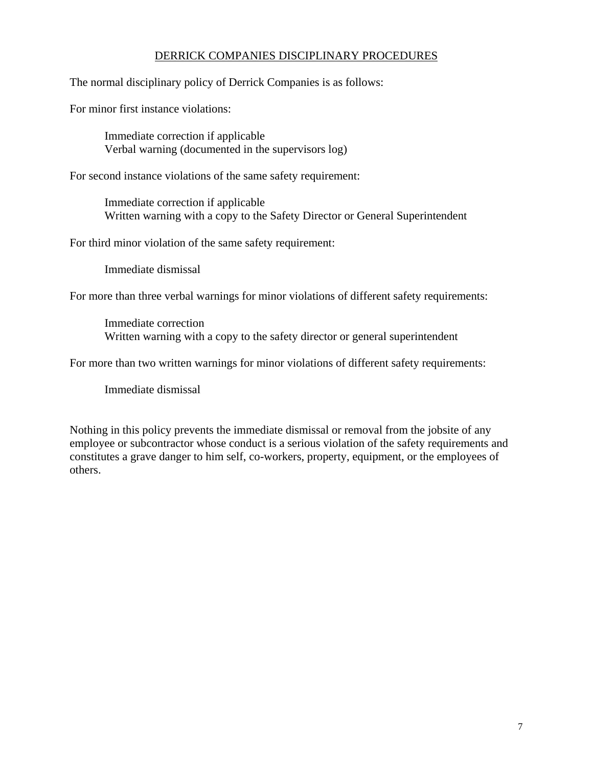# DERRICK COMPANIES DISCIPLINARY PROCEDURES

The normal disciplinary policy of Derrick Companies is as follows:

For minor first instance violations:

 Immediate correction if applicable Verbal warning (documented in the supervisors log)

For second instance violations of the same safety requirement:

 Immediate correction if applicable Written warning with a copy to the Safety Director or General Superintendent

For third minor violation of the same safety requirement:

Immediate dismissal

For more than three verbal warnings for minor violations of different safety requirements:

 Immediate correction Written warning with a copy to the safety director or general superintendent

For more than two written warnings for minor violations of different safety requirements:

Immediate dismissal

Nothing in this policy prevents the immediate dismissal or removal from the jobsite of any employee or subcontractor whose conduct is a serious violation of the safety requirements and constitutes a grave danger to him self, co-workers, property, equipment, or the employees of others.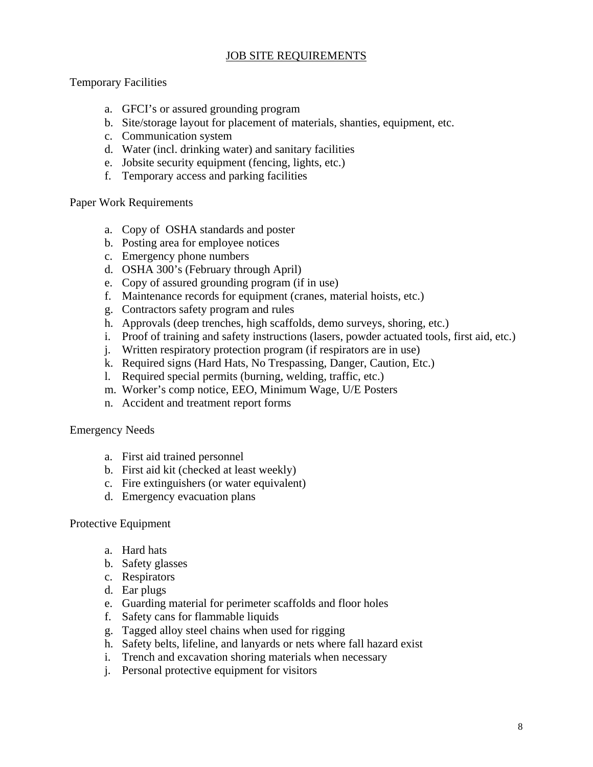# JOB SITE REQUIREMENTS

## Temporary Facilities

- a. GFCI's or assured grounding program
- b. Site/storage layout for placement of materials, shanties, equipment, etc.
- c. Communication system
- d. Water (incl. drinking water) and sanitary facilities
- e. Jobsite security equipment (fencing, lights, etc.)
- f. Temporary access and parking facilities

#### Paper Work Requirements

- a. Copy of OSHA standards and poster
- b. Posting area for employee notices
- c. Emergency phone numbers
- d. OSHA 300's (February through April)
- e. Copy of assured grounding program (if in use)
- f. Maintenance records for equipment (cranes, material hoists, etc.)
- g. Contractors safety program and rules
- h. Approvals (deep trenches, high scaffolds, demo surveys, shoring, etc.)
- i. Proof of training and safety instructions (lasers, powder actuated tools, first aid, etc.)
- j. Written respiratory protection program (if respirators are in use)
- k. Required signs (Hard Hats, No Trespassing, Danger, Caution, Etc.)
- l. Required special permits (burning, welding, traffic, etc.)
- m. Worker's comp notice, EEO, Minimum Wage, U/E Posters
- n. Accident and treatment report forms

#### Emergency Needs

- a. First aid trained personnel
- b. First aid kit (checked at least weekly)
- c. Fire extinguishers (or water equivalent)
- d. Emergency evacuation plans

#### Protective Equipment

- a. Hard hats
- b. Safety glasses
- c. Respirators
- d. Ear plugs
- e. Guarding material for perimeter scaffolds and floor holes
- f. Safety cans for flammable liquids
- g. Tagged alloy steel chains when used for rigging
- h. Safety belts, lifeline, and lanyards or nets where fall hazard exist
- i. Trench and excavation shoring materials when necessary
- j. Personal protective equipment for visitors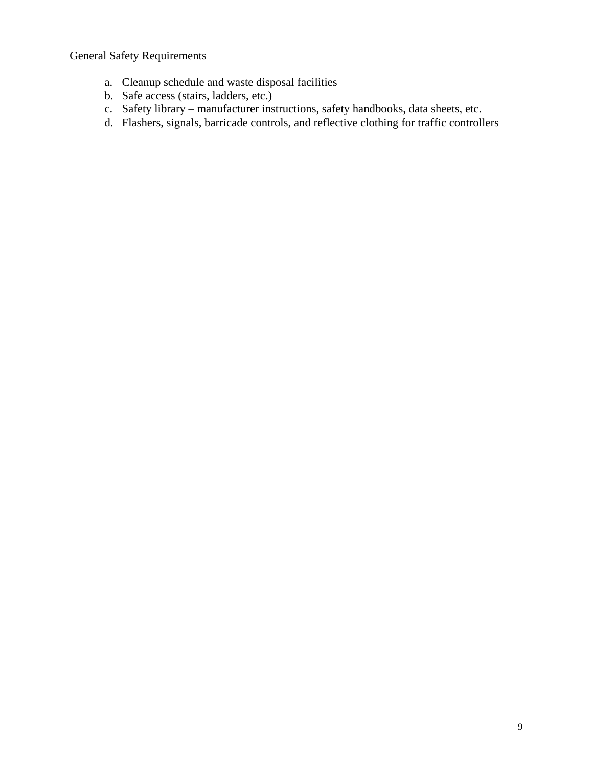General Safety Requirements

- a. Cleanup schedule and waste disposal facilities
- b. Safe access (stairs, ladders, etc.)
- c. Safety library manufacturer instructions, safety handbooks, data sheets, etc.
- d. Flashers, signals, barricade controls, and reflective clothing for traffic controllers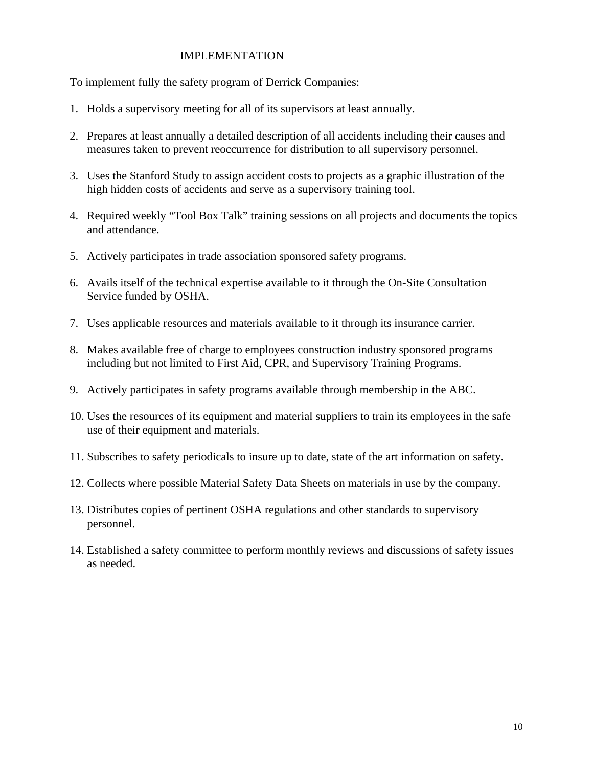## IMPLEMENTATION

To implement fully the safety program of Derrick Companies:

- 1. Holds a supervisory meeting for all of its supervisors at least annually.
- 2. Prepares at least annually a detailed description of all accidents including their causes and measures taken to prevent reoccurrence for distribution to all supervisory personnel.
- 3. Uses the Stanford Study to assign accident costs to projects as a graphic illustration of the high hidden costs of accidents and serve as a supervisory training tool.
- 4. Required weekly "Tool Box Talk" training sessions on all projects and documents the topics and attendance.
- 5. Actively participates in trade association sponsored safety programs.
- 6. Avails itself of the technical expertise available to it through the On-Site Consultation Service funded by OSHA.
- 7. Uses applicable resources and materials available to it through its insurance carrier.
- 8. Makes available free of charge to employees construction industry sponsored programs including but not limited to First Aid, CPR, and Supervisory Training Programs.
- 9. Actively participates in safety programs available through membership in the ABC.
- 10. Uses the resources of its equipment and material suppliers to train its employees in the safe use of their equipment and materials.
- 11. Subscribes to safety periodicals to insure up to date, state of the art information on safety.
- 12. Collects where possible Material Safety Data Sheets on materials in use by the company.
- 13. Distributes copies of pertinent OSHA regulations and other standards to supervisory personnel.
- 14. Established a safety committee to perform monthly reviews and discussions of safety issues as needed.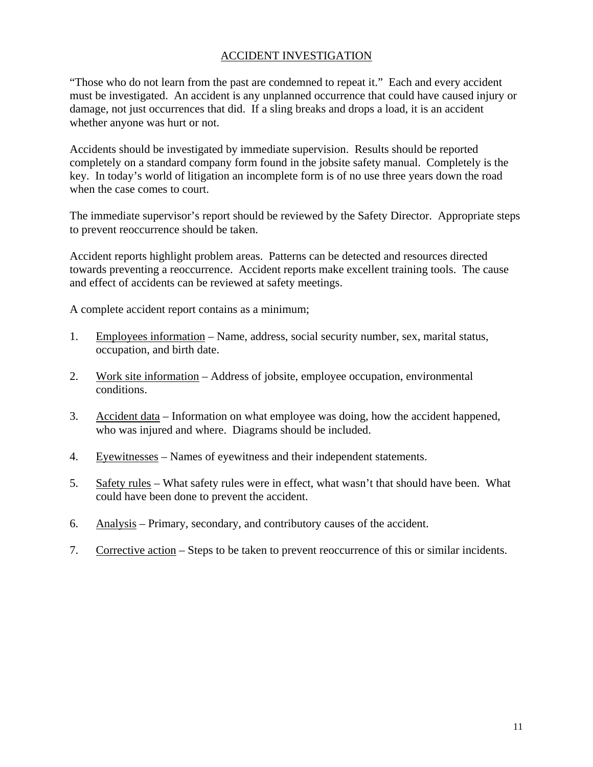# ACCIDENT INVESTIGATION

"Those who do not learn from the past are condemned to repeat it." Each and every accident must be investigated. An accident is any unplanned occurrence that could have caused injury or damage, not just occurrences that did. If a sling breaks and drops a load, it is an accident whether anyone was hurt or not.

Accidents should be investigated by immediate supervision. Results should be reported completely on a standard company form found in the jobsite safety manual. Completely is the key. In today's world of litigation an incomplete form is of no use three years down the road when the case comes to court.

The immediate supervisor's report should be reviewed by the Safety Director. Appropriate steps to prevent reoccurrence should be taken.

Accident reports highlight problem areas. Patterns can be detected and resources directed towards preventing a reoccurrence. Accident reports make excellent training tools. The cause and effect of accidents can be reviewed at safety meetings.

A complete accident report contains as a minimum;

- 1. Employees information Name, address, social security number, sex, marital status, occupation, and birth date.
- 2. Work site information Address of jobsite, employee occupation, environmental conditions.
- 3. Accident data Information on what employee was doing, how the accident happened, who was injured and where. Diagrams should be included.
- 4. Eyewitnesses Names of eyewitness and their independent statements.
- 5. Safety rules What safety rules were in effect, what wasn't that should have been. What could have been done to prevent the accident.
- 6. Analysis Primary, secondary, and contributory causes of the accident.
- 7. Corrective action Steps to be taken to prevent reoccurrence of this or similar incidents.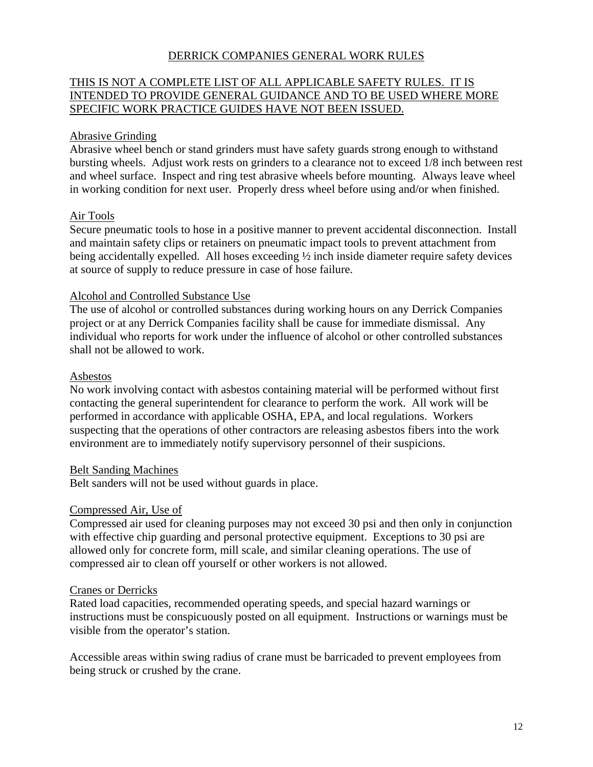# DERRICK COMPANIES GENERAL WORK RULES

# THIS IS NOT A COMPLETE LIST OF ALL APPLICABLE SAFETY RULES. IT IS INTENDED TO PROVIDE GENERAL GUIDANCE AND TO BE USED WHERE MORE SPECIFIC WORK PRACTICE GUIDES HAVE NOT BEEN ISSUED.

## Abrasive Grinding

Abrasive wheel bench or stand grinders must have safety guards strong enough to withstand bursting wheels. Adjust work rests on grinders to a clearance not to exceed 1/8 inch between rest and wheel surface. Inspect and ring test abrasive wheels before mounting. Always leave wheel in working condition for next user. Properly dress wheel before using and/or when finished.

## Air Tools

Secure pneumatic tools to hose in a positive manner to prevent accidental disconnection. Install and maintain safety clips or retainers on pneumatic impact tools to prevent attachment from being accidentally expelled. All hoses exceeding  $\frac{1}{2}$  inch inside diameter require safety devices at source of supply to reduce pressure in case of hose failure.

#### Alcohol and Controlled Substance Use

The use of alcohol or controlled substances during working hours on any Derrick Companies project or at any Derrick Companies facility shall be cause for immediate dismissal. Any individual who reports for work under the influence of alcohol or other controlled substances shall not be allowed to work.

#### Asbestos

No work involving contact with asbestos containing material will be performed without first contacting the general superintendent for clearance to perform the work. All work will be performed in accordance with applicable OSHA, EPA, and local regulations. Workers suspecting that the operations of other contractors are releasing asbestos fibers into the work environment are to immediately notify supervisory personnel of their suspicions.

#### Belt Sanding Machines

Belt sanders will not be used without guards in place.

#### Compressed Air, Use of

Compressed air used for cleaning purposes may not exceed 30 psi and then only in conjunction with effective chip guarding and personal protective equipment. Exceptions to 30 psi are allowed only for concrete form, mill scale, and similar cleaning operations. The use of compressed air to clean off yourself or other workers is not allowed.

#### Cranes or Derricks

Rated load capacities, recommended operating speeds, and special hazard warnings or instructions must be conspicuously posted on all equipment. Instructions or warnings must be visible from the operator's station.

Accessible areas within swing radius of crane must be barricaded to prevent employees from being struck or crushed by the crane.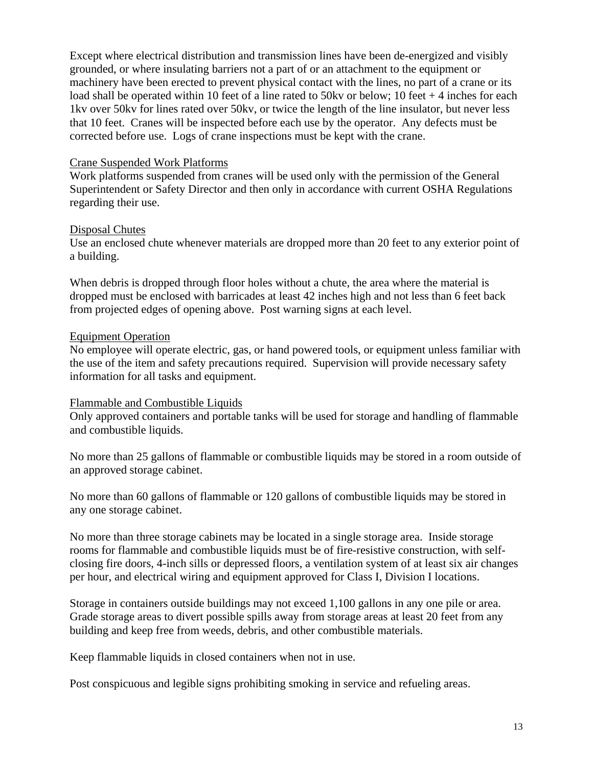Except where electrical distribution and transmission lines have been de-energized and visibly grounded, or where insulating barriers not a part of or an attachment to the equipment or machinery have been erected to prevent physical contact with the lines, no part of a crane or its load shall be operated within 10 feet of a line rated to 50kv or below; 10 feet + 4 inches for each 1kv over 50kv for lines rated over 50kv, or twice the length of the line insulator, but never less that 10 feet. Cranes will be inspected before each use by the operator. Any defects must be corrected before use. Logs of crane inspections must be kept with the crane.

### Crane Suspended Work Platforms

Work platforms suspended from cranes will be used only with the permission of the General Superintendent or Safety Director and then only in accordance with current OSHA Regulations regarding their use.

## Disposal Chutes

Use an enclosed chute whenever materials are dropped more than 20 feet to any exterior point of a building.

When debris is dropped through floor holes without a chute, the area where the material is dropped must be enclosed with barricades at least 42 inches high and not less than 6 feet back from projected edges of opening above. Post warning signs at each level.

## Equipment Operation

No employee will operate electric, gas, or hand powered tools, or equipment unless familiar with the use of the item and safety precautions required. Supervision will provide necessary safety information for all tasks and equipment.

# Flammable and Combustible Liquids

Only approved containers and portable tanks will be used for storage and handling of flammable and combustible liquids.

No more than 25 gallons of flammable or combustible liquids may be stored in a room outside of an approved storage cabinet.

No more than 60 gallons of flammable or 120 gallons of combustible liquids may be stored in any one storage cabinet.

No more than three storage cabinets may be located in a single storage area. Inside storage rooms for flammable and combustible liquids must be of fire-resistive construction, with selfclosing fire doors, 4-inch sills or depressed floors, a ventilation system of at least six air changes per hour, and electrical wiring and equipment approved for Class I, Division I locations.

Storage in containers outside buildings may not exceed 1,100 gallons in any one pile or area. Grade storage areas to divert possible spills away from storage areas at least 20 feet from any building and keep free from weeds, debris, and other combustible materials.

Keep flammable liquids in closed containers when not in use.

Post conspicuous and legible signs prohibiting smoking in service and refueling areas.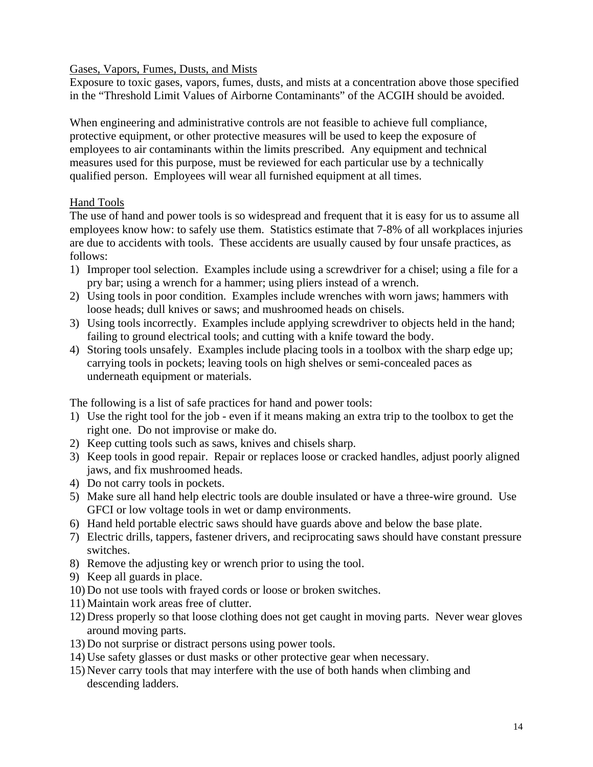# Gases, Vapors, Fumes, Dusts, and Mists

Exposure to toxic gases, vapors, fumes, dusts, and mists at a concentration above those specified in the "Threshold Limit Values of Airborne Contaminants" of the ACGIH should be avoided.

When engineering and administrative controls are not feasible to achieve full compliance, protective equipment, or other protective measures will be used to keep the exposure of employees to air contaminants within the limits prescribed. Any equipment and technical measures used for this purpose, must be reviewed for each particular use by a technically qualified person. Employees will wear all furnished equipment at all times.

# Hand Tools

The use of hand and power tools is so widespread and frequent that it is easy for us to assume all employees know how: to safely use them. Statistics estimate that 7-8% of all workplaces injuries are due to accidents with tools. These accidents are usually caused by four unsafe practices, as follows:

- 1) Improper tool selection. Examples include using a screwdriver for a chisel; using a file for a pry bar; using a wrench for a hammer; using pliers instead of a wrench.
- 2) Using tools in poor condition. Examples include wrenches with worn jaws; hammers with loose heads; dull knives or saws; and mushroomed heads on chisels.
- 3) Using tools incorrectly. Examples include applying screwdriver to objects held in the hand; failing to ground electrical tools; and cutting with a knife toward the body.
- 4) Storing tools unsafely. Examples include placing tools in a toolbox with the sharp edge up; carrying tools in pockets; leaving tools on high shelves or semi-concealed paces as underneath equipment or materials.

The following is a list of safe practices for hand and power tools:

- 1) Use the right tool for the job even if it means making an extra trip to the toolbox to get the right one. Do not improvise or make do.
- 2) Keep cutting tools such as saws, knives and chisels sharp.
- 3) Keep tools in good repair. Repair or replaces loose or cracked handles, adjust poorly aligned jaws, and fix mushroomed heads.
- 4) Do not carry tools in pockets.
- 5) Make sure all hand help electric tools are double insulated or have a three-wire ground. Use GFCI or low voltage tools in wet or damp environments.
- 6) Hand held portable electric saws should have guards above and below the base plate.
- 7) Electric drills, tappers, fastener drivers, and reciprocating saws should have constant pressure switches.
- 8) Remove the adjusting key or wrench prior to using the tool.
- 9) Keep all guards in place.
- 10) Do not use tools with frayed cords or loose or broken switches.
- 11) Maintain work areas free of clutter.
- 12) Dress properly so that loose clothing does not get caught in moving parts. Never wear gloves around moving parts.
- 13) Do not surprise or distract persons using power tools.
- 14) Use safety glasses or dust masks or other protective gear when necessary.
- 15) Never carry tools that may interfere with the use of both hands when climbing and descending ladders.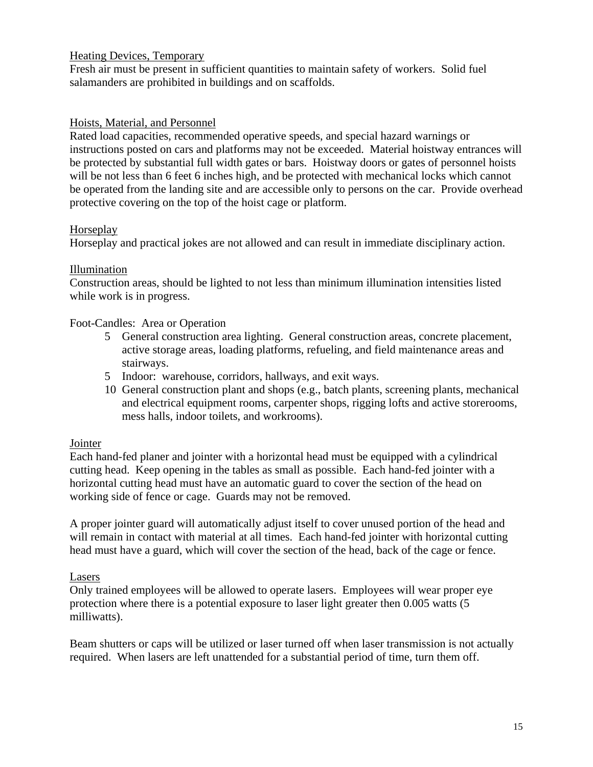# Heating Devices, Temporary

Fresh air must be present in sufficient quantities to maintain safety of workers. Solid fuel salamanders are prohibited in buildings and on scaffolds.

# Hoists, Material, and Personnel

Rated load capacities, recommended operative speeds, and special hazard warnings or instructions posted on cars and platforms may not be exceeded. Material hoistway entrances will be protected by substantial full width gates or bars. Hoistway doors or gates of personnel hoists will be not less than 6 feet 6 inches high, and be protected with mechanical locks which cannot be operated from the landing site and are accessible only to persons on the car. Provide overhead protective covering on the top of the hoist cage or platform.

## Horseplay

Horseplay and practical jokes are not allowed and can result in immediate disciplinary action.

## Illumination

Construction areas, should be lighted to not less than minimum illumination intensities listed while work is in progress.

#### Foot-Candles: Area or Operation

- 5 General construction area lighting. General construction areas, concrete placement, active storage areas, loading platforms, refueling, and field maintenance areas and stairways.
- 5 Indoor: warehouse, corridors, hallways, and exit ways.
- 10 General construction plant and shops (e.g., batch plants, screening plants, mechanical and electrical equipment rooms, carpenter shops, rigging lofts and active storerooms, mess halls, indoor toilets, and workrooms).

#### **Jointer**

Each hand-fed planer and jointer with a horizontal head must be equipped with a cylindrical cutting head. Keep opening in the tables as small as possible. Each hand-fed jointer with a horizontal cutting head must have an automatic guard to cover the section of the head on working side of fence or cage. Guards may not be removed.

A proper jointer guard will automatically adjust itself to cover unused portion of the head and will remain in contact with material at all times. Each hand-fed jointer with horizontal cutting head must have a guard, which will cover the section of the head, back of the cage or fence.

# Lasers

Only trained employees will be allowed to operate lasers. Employees will wear proper eye protection where there is a potential exposure to laser light greater then 0.005 watts (5 milliwatts).

Beam shutters or caps will be utilized or laser turned off when laser transmission is not actually required. When lasers are left unattended for a substantial period of time, turn them off.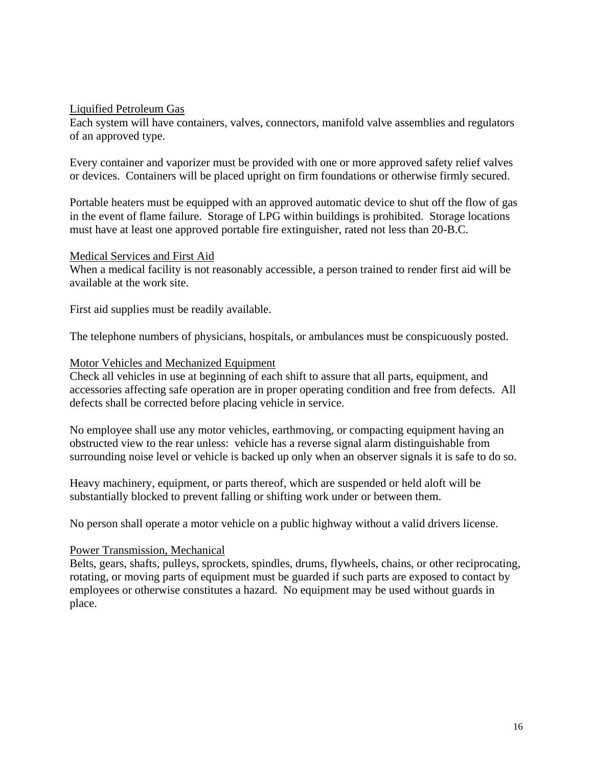#### Liquified Petroleum Gas

Each system will have containers, valves, connectors, manifold valve assemblies and regulators of an approved type.

Every container and vaporizer must be provided with one or more approved safety relief valves or devices. Containers will be placed upright on firm foundations or otherwise firmly secured.

Portable heaters must be equipped with an approved automatic device to shut off the flow of gas in the event of flame failure. Storage of LPG within buildings is prohibited. Storage locations must have at least one approved portable fire extinguisher, rated not less than 20-B.C.

#### Medical Services and First Aid

When a medical facility is not reasonably accessible, a person trained to render first aid will be available at the work site.

First aid supplies must be readily available.

The telephone numbers of physicians, hospitals, or ambulances must be conspicuously posted.

#### Motor Vehicles and Mechanized Equipment

Check all vehicles in use at beginning of each shift to assure that all parts, equipment, and accessories affecting safe operation are in proper operating condition and free from defects. All defects shall be corrected before placing vehicle in service.

No employee shall use any motor vehicles, earthmoving, or compacting equipment having an obstructed view to the rear unless: vehicle has a reverse signal alarm distinguishable from surrounding noise level or vehicle is backed up only when an observer signals it is safe to do so.

Heavy machinery, equipment, or parts thereof, which are suspended or held aloft will be substantially blocked to prevent falling or shifting work under or between them.

No person shall operate a motor vehicle on a public highway without a valid drivers license.

#### Power Transmission, Mechanical

Belts, gears, shafts, pulleys, sprockets, spindles, drums, flywheels, chains, or other reciprocating, rotating, or moving parts of equipment must be guarded if such parts are exposed to contact by employees or otherwise constitutes a hazard. No equipment may be used without guards in place.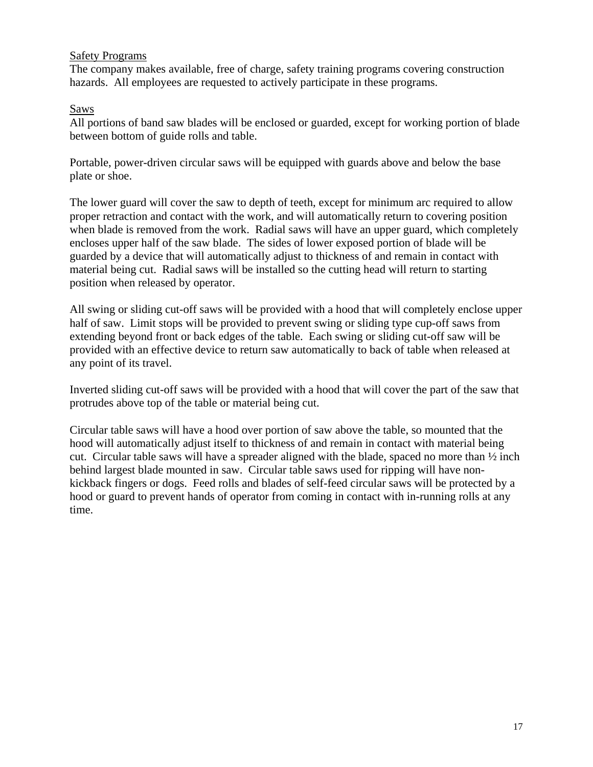## Safety Programs

The company makes available, free of charge, safety training programs covering construction hazards. All employees are requested to actively participate in these programs.

## Saws

All portions of band saw blades will be enclosed or guarded, except for working portion of blade between bottom of guide rolls and table.

Portable, power-driven circular saws will be equipped with guards above and below the base plate or shoe.

The lower guard will cover the saw to depth of teeth, except for minimum arc required to allow proper retraction and contact with the work, and will automatically return to covering position when blade is removed from the work. Radial saws will have an upper guard, which completely encloses upper half of the saw blade. The sides of lower exposed portion of blade will be guarded by a device that will automatically adjust to thickness of and remain in contact with material being cut. Radial saws will be installed so the cutting head will return to starting position when released by operator.

All swing or sliding cut-off saws will be provided with a hood that will completely enclose upper half of saw. Limit stops will be provided to prevent swing or sliding type cup-off saws from extending beyond front or back edges of the table. Each swing or sliding cut-off saw will be provided with an effective device to return saw automatically to back of table when released at any point of its travel.

Inverted sliding cut-off saws will be provided with a hood that will cover the part of the saw that protrudes above top of the table or material being cut.

Circular table saws will have a hood over portion of saw above the table, so mounted that the hood will automatically adjust itself to thickness of and remain in contact with material being cut. Circular table saws will have a spreader aligned with the blade, spaced no more than  $\frac{1}{2}$  inch behind largest blade mounted in saw. Circular table saws used for ripping will have nonkickback fingers or dogs. Feed rolls and blades of self-feed circular saws will be protected by a hood or guard to prevent hands of operator from coming in contact with in-running rolls at any time.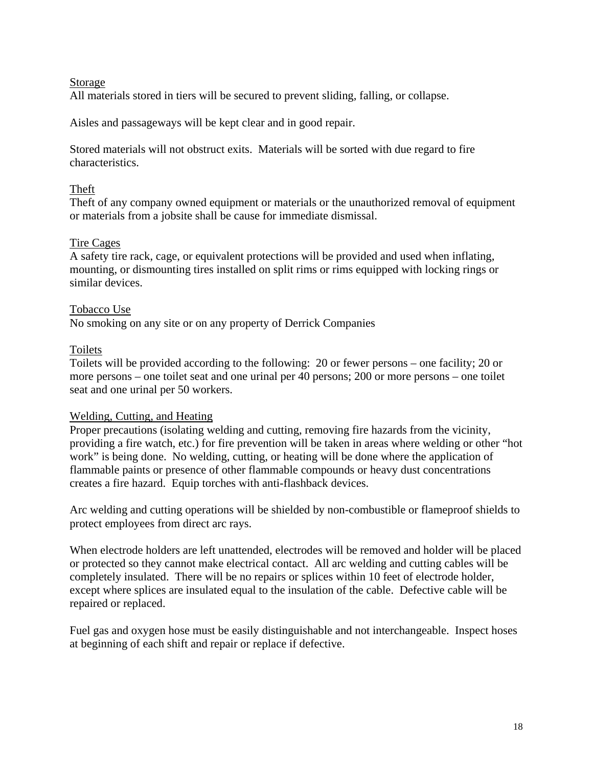## Storage

All materials stored in tiers will be secured to prevent sliding, falling, or collapse.

Aisles and passageways will be kept clear and in good repair.

Stored materials will not obstruct exits. Materials will be sorted with due regard to fire characteristics.

# Theft

Theft of any company owned equipment or materials or the unauthorized removal of equipment or materials from a jobsite shall be cause for immediate dismissal.

# Tire Cages

A safety tire rack, cage, or equivalent protections will be provided and used when inflating, mounting, or dismounting tires installed on split rims or rims equipped with locking rings or similar devices.

## Tobacco Use

No smoking on any site or on any property of Derrick Companies

## Toilets

Toilets will be provided according to the following: 20 or fewer persons – one facility; 20 or more persons – one toilet seat and one urinal per 40 persons; 200 or more persons – one toilet seat and one urinal per 50 workers.

#### Welding, Cutting, and Heating

Proper precautions (isolating welding and cutting, removing fire hazards from the vicinity, providing a fire watch, etc.) for fire prevention will be taken in areas where welding or other "hot work" is being done. No welding, cutting, or heating will be done where the application of flammable paints or presence of other flammable compounds or heavy dust concentrations creates a fire hazard. Equip torches with anti-flashback devices.

Arc welding and cutting operations will be shielded by non-combustible or flameproof shields to protect employees from direct arc rays.

When electrode holders are left unattended, electrodes will be removed and holder will be placed or protected so they cannot make electrical contact. All arc welding and cutting cables will be completely insulated. There will be no repairs or splices within 10 feet of electrode holder, except where splices are insulated equal to the insulation of the cable. Defective cable will be repaired or replaced.

Fuel gas and oxygen hose must be easily distinguishable and not interchangeable. Inspect hoses at beginning of each shift and repair or replace if defective.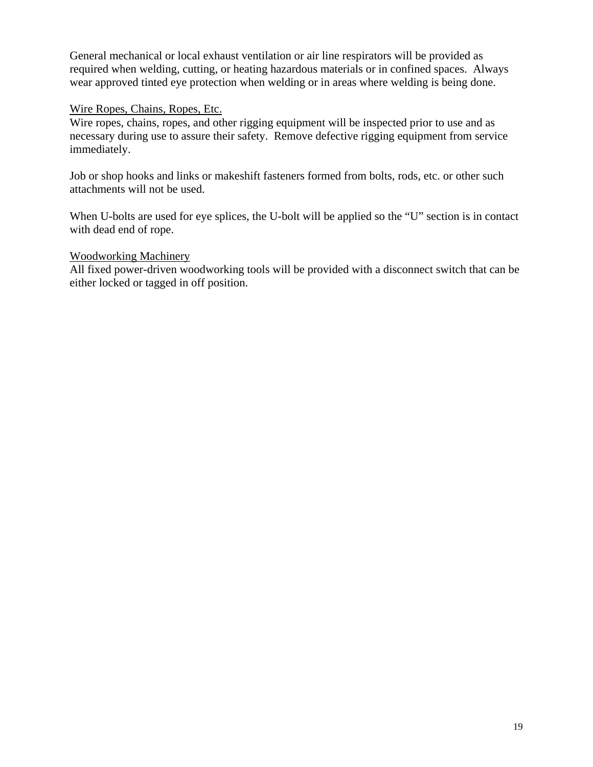General mechanical or local exhaust ventilation or air line respirators will be provided as required when welding, cutting, or heating hazardous materials or in confined spaces. Always wear approved tinted eye protection when welding or in areas where welding is being done.

### Wire Ropes, Chains, Ropes, Etc.

Wire ropes, chains, ropes, and other rigging equipment will be inspected prior to use and as necessary during use to assure their safety. Remove defective rigging equipment from service immediately.

Job or shop hooks and links or makeshift fasteners formed from bolts, rods, etc. or other such attachments will not be used.

When U-bolts are used for eye splices, the U-bolt will be applied so the "U" section is in contact with dead end of rope.

#### Woodworking Machinery

All fixed power-driven woodworking tools will be provided with a disconnect switch that can be either locked or tagged in off position.